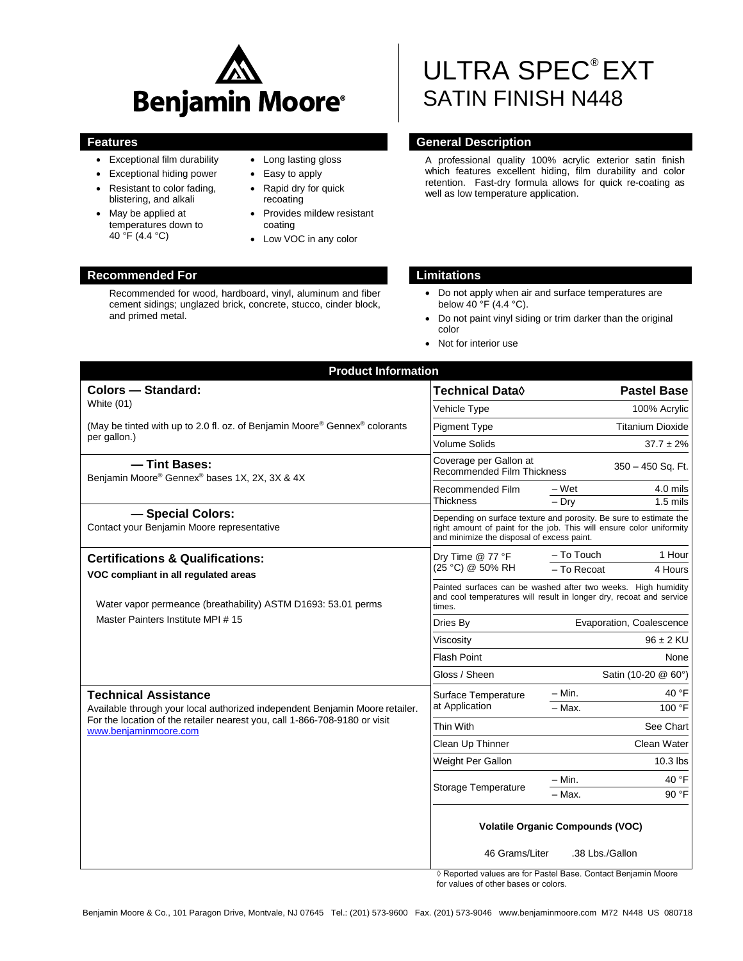

- Exceptional film durability
- Exceptional hiding power
- Resistant to color fading, blistering, and alkali
- May be applied at temperatures down to 40 °F (4.4 °C)
- Long lasting gloss
- Easy to apply
- Rapid dry for quick recoating
- Provides mildew resistant coating
- Low VOC in any color

# ULTRA SPEC® EXT SATIN FINISH N448

## **Features General Description**

A professional quality 100% acrylic exterior satin finish which features excellent hiding, film durability and color retention. Fast-dry formula allows for quick re-coating as well as low temperature application.

- Do not apply when air and surface temperatures are below 40 °F (4.4 °C).
- Do not paint vinyl siding or trim darker than the original color
- Not for interior use

| <b>Product Information</b>                                                                          |                                                                                                                                                                                          |                                  |  |
|-----------------------------------------------------------------------------------------------------|------------------------------------------------------------------------------------------------------------------------------------------------------------------------------------------|----------------------------------|--|
| <b>Colors - Standard:</b>                                                                           | Technical Data◊                                                                                                                                                                          | <b>Pastel Base</b>               |  |
| White (01)                                                                                          | <b>Vehicle Type</b>                                                                                                                                                                      | 100% Acrylic                     |  |
| (May be tinted with up to 2.0 fl. oz. of Benjamin Moore® Gennex® colorants                          | <b>Pigment Type</b>                                                                                                                                                                      | <b>Titanium Dioxide</b>          |  |
| per gallon.)                                                                                        | <b>Volume Solids</b>                                                                                                                                                                     | $37.7 \pm 2\%$                   |  |
| - Tint Bases:<br>Benjamin Moore® Gennex® bases 1X, 2X, 3X & 4X                                      | Coverage per Gallon at<br><b>Recommended Film Thickness</b>                                                                                                                              | 350 - 450 Sq. Ft.                |  |
|                                                                                                     | Recommended Film<br>Thickness                                                                                                                                                            | $4.0$ mils<br>– Wet              |  |
| - Special Colors:                                                                                   |                                                                                                                                                                                          | $\overline{-}$ Dry<br>$1.5$ mils |  |
| Contact your Benjamin Moore representative                                                          | Depending on surface texture and porosity. Be sure to estimate the<br>right amount of paint for the job. This will ensure color uniformity<br>and minimize the disposal of excess paint. |                                  |  |
| <b>Certifications &amp; Qualifications:</b>                                                         | Dry Time @ 77 °F<br>(25 °C) @ 50% RH                                                                                                                                                     | - To Touch<br>1 Hour             |  |
| VOC compliant in all regulated areas                                                                |                                                                                                                                                                                          | - To Recoat<br>4 Hours           |  |
| Water vapor permeance (breathability) ASTM D1693: 53.01 perms<br>Master Painters Institute MPI #15  | Painted surfaces can be washed after two weeks. High humidity<br>and cool temperatures will result in longer dry, recoat and service<br>times.                                           |                                  |  |
|                                                                                                     | Dries By                                                                                                                                                                                 | Evaporation, Coalescence         |  |
|                                                                                                     | Viscosity                                                                                                                                                                                | $96 \pm 2$ KU                    |  |
|                                                                                                     | Flash Point                                                                                                                                                                              | None                             |  |
|                                                                                                     | Gloss / Sheen                                                                                                                                                                            | Satin (10-20 @ 60°)              |  |
| <b>Technical Assistance</b>                                                                         | Surface Temperature<br>at Application                                                                                                                                                    | $-$ Min.<br>40 °F                |  |
| Available through your local authorized independent Benjamin Moore retailer.                        |                                                                                                                                                                                          | 100 °F<br>$-$ Max.               |  |
| For the location of the retailer nearest you, call 1-866-708-9180 or visit<br>www.benjaminmoore.com | Thin With                                                                                                                                                                                | See Chart                        |  |
|                                                                                                     | Clean Up Thinner                                                                                                                                                                         | Clean Water                      |  |
|                                                                                                     | Weight Per Gallon                                                                                                                                                                        | $10.3$ lbs                       |  |
|                                                                                                     | Storage Temperature                                                                                                                                                                      | $- Min.$<br>40 °F                |  |
|                                                                                                     |                                                                                                                                                                                          | $-$ Max.<br>90 °F                |  |
|                                                                                                     | <b>Volatile Organic Compounds (VOC)</b><br>46 Grams/Liter<br>.38 Lbs./Gallon                                                                                                             |                                  |  |

◊ Reported values are for Pastel Base. Contact Benjamin Moore for values of other bases or colors.

# **Recommended For Limitations**

Recommended for wood, hardboard, vinyl, aluminum and fiber cement sidings; unglazed brick, concrete, stucco, cinder block, and primed metal.